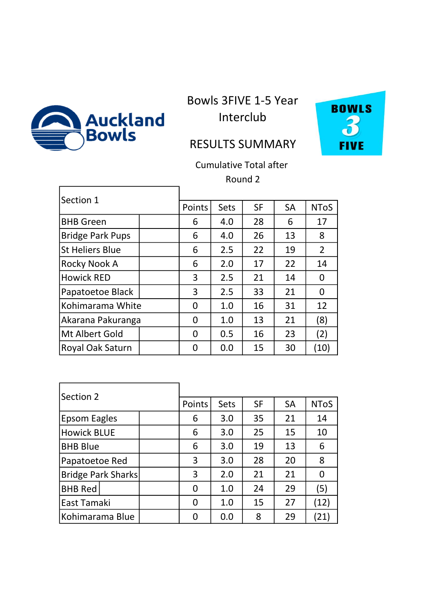

 $\Gamma$ 

Bowls 3FIVE 1-5 Year Interclub



## RESULTS SUMMARY

Cumulative Total after Round 2

| Section 1               |        |      |           |           |                |
|-------------------------|--------|------|-----------|-----------|----------------|
|                         | Points | Sets | <b>SF</b> | <b>SA</b> | <b>NToS</b>    |
| <b>BHB Green</b>        | 6      | 4.0  | 28        | 6         | 17             |
| <b>Bridge Park Pups</b> | 6      | 4.0  | 26        | 13        | 8              |
| <b>St Heliers Blue</b>  | 6      | 2.5  | 22        | 19        | $\overline{2}$ |
| Rocky Nook A            | 6      | 2.0  | 17        | 22        | 14             |
| <b>Howick RED</b>       | 3      | 2.5  | 21        | 14        | 0              |
| Papatoetoe Black        | 3      | 2.5  | 33        | 21        | 0              |
| Kohimarama White        | 0      | 1.0  | 16        | 31        | 12             |
| Akarana Pakuranga       | O      | 1.0  | 13        | 21        | (8)            |
| Mt Albert Gold          | O      | 0.5  | 16        | 23        | (2)            |
| Royal Oak Saturn        |        | 0.0  | 15        | 30        | (10)           |

٦

| Section 2          |  |        |             |           |           |             |
|--------------------|--|--------|-------------|-----------|-----------|-------------|
|                    |  | Points | <b>Sets</b> | <b>SF</b> | <b>SA</b> | <b>NToS</b> |
| Epsom Eagles       |  | 6      | 3.0         | 35        | 21        | 14          |
| <b>Howick BLUE</b> |  | 6      | 3.0         | 25        | 15        | 10          |
| <b>BHB Blue</b>    |  | 6      | 3.0         | 19        | 13        | 6           |
| Papatoetoe Red     |  | 3      | 3.0         | 28        | 20        | 8           |
| Bridge Park Sharks |  | 3      | 2.0         | 21        | 21        | 0           |
| <b>BHB Red</b>     |  | 0      | 1.0         | 24        | 29        | (5)         |
| East Tamaki        |  | 0      | 1.0         | 15        | 27        | (12)        |
| Kohimarama Blue    |  | O      | 0.0         | 8         | 29        | 21          |